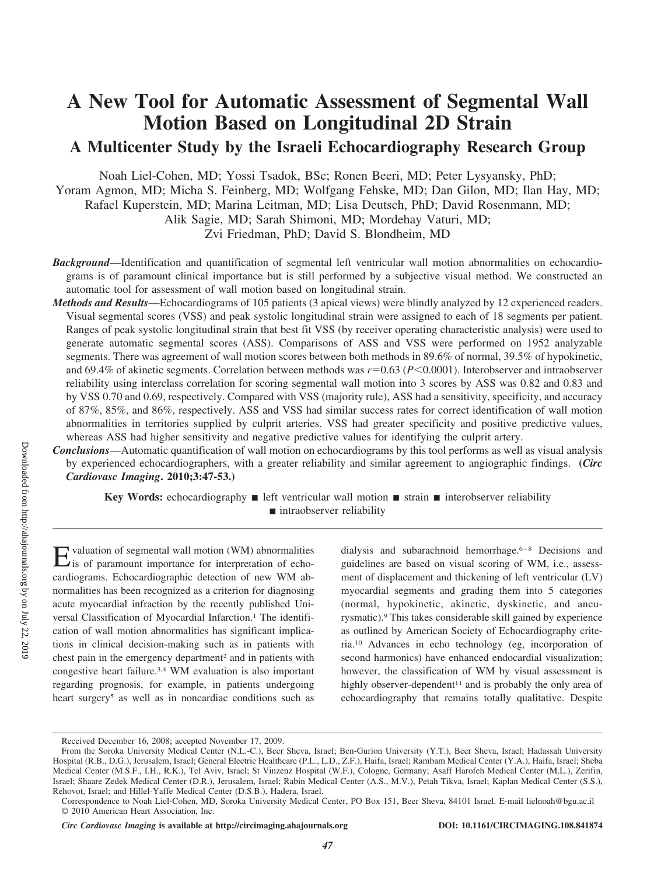# **A New Tool for Automatic Assessment of Segmental Wall Motion Based on Longitudinal 2D Strain A Multicenter Study by the Israeli Echocardiography Research Group**

Noah Liel-Cohen, MD; Yossi Tsadok, BSc; Ronen Beeri, MD; Peter Lysyansky, PhD; Yoram Agmon, MD; Micha S. Feinberg, MD; Wolfgang Fehske, MD; Dan Gilon, MD; Ilan Hay, MD; Rafael Kuperstein, MD; Marina Leitman, MD; Lisa Deutsch, PhD; David Rosenmann, MD; Alik Sagie, MD; Sarah Shimoni, MD; Mordehay Vaturi, MD; Zvi Friedman, PhD; David S. Blondheim, MD

*Background*—Identification and quantification of segmental left ventricular wall motion abnormalities on echocardiograms is of paramount clinical importance but is still performed by a subjective visual method. We constructed an automatic tool for assessment of wall motion based on longitudinal strain.

*Methods and Results*—Echocardiograms of 105 patients (3 apical views) were blindly analyzed by 12 experienced readers. Visual segmental scores (VSS) and peak systolic longitudinal strain were assigned to each of 18 segments per patient. Ranges of peak systolic longitudinal strain that best fit VSS (by receiver operating characteristic analysis) were used to generate automatic segmental scores (ASS). Comparisons of ASS and VSS were performed on 1952 analyzable segments. There was agreement of wall motion scores between both methods in 89.6% of normal, 39.5% of hypokinetic, and 69.4% of akinetic segments. Correlation between methods was  $r=0.63$  (*P*<0.0001). Interobserver and intraobserver reliability using interclass correlation for scoring segmental wall motion into 3 scores by ASS was 0.82 and 0.83 and by VSS 0.70 and 0.69, respectively. Compared with VSS (majority rule), ASS had a sensitivity, specificity, and accuracy of 87%, 85%, and 86%, respectively. ASS and VSS had similar success rates for correct identification of wall motion abnormalities in territories supplied by culprit arteries. VSS had greater specificity and positive predictive values, whereas ASS had higher sensitivity and negative predictive values for identifying the culprit artery.

*Conclusions*—Automatic quantification of wall motion on echocardiograms by this tool performs as well as visual analysis by experienced echocardiographers, with a greater reliability and similar agreement to angiographic findings. **(***Circ Cardiovasc Imaging***. 2010;3:47-53.)**

**Key Words:** echocardiography **i** left ventricular wall motion **i** strain **i** interobserver reliability ■ intraobserver reliability

Evaluation of segmental wall motion (WM) abnormalities is of paramount importance for interpretation of echocardiograms. Echocardiographic detection of new WM abnormalities has been recognized as a criterion for diagnosing acute myocardial infraction by the recently published Universal Classification of Myocardial Infarction.<sup>1</sup> The identification of wall motion abnormalities has significant implications in clinical decision-making such as in patients with chest pain in the emergency department<sup>2</sup> and in patients with congestive heart failure.3,4 WM evaluation is also important regarding prognosis, for example, in patients undergoing heart surgery<sup>5</sup> as well as in noncardiac conditions such as dialysis and subarachnoid hemorrhage.<sup>6–8</sup> Decisions and guidelines are based on visual scoring of WM, i.e., assessment of displacement and thickening of left ventricular (LV) myocardial segments and grading them into 5 categories (normal, hypokinetic, akinetic, dyskinetic, and aneurysmatic).9 This takes considerable skill gained by experience as outlined by American Society of Echocardiography criteria.10 Advances in echo technology (eg, incorporation of second harmonics) have enhanced endocardial visualization; however, the classification of WM by visual assessment is highly observer-dependent<sup>11</sup> and is probably the only area of echocardiography that remains totally qualitative. Despite

Received December 16, 2008; accepted November 17, 2009.

From the Soroka University Medical Center (N.L.-C.), Beer Sheva, Israel; Ben-Gurion University (Y.T.), Beer Sheva, Israel; Hadassah University Hospital (R.B., D.G.), Jerusalem, Israel; General Electric Healthcare (P.L., L.D., Z.F.), Haifa, Israel; Rambam Medical Center (Y.A.), Haifa, Israel; Sheba Medical Center (M.S.F., I.H., R.K.), Tel Aviv, Israel; St Vinzenz Hospital (W.F.), Cologne, Germany; Asaff Harofeh Medical Center (M.L.), Zerifin, Israel; Shaare Zedek Medical Center (D.R.), Jerusalem, Israel; Rabin Medical Center (A.S., M.V.), Petah Tikva, Israel; Kaplan Medical Center (S.S.), Rehovot, Israel; and Hillel-Yaffe Medical Center (D.S.B.), Hadera, Israel.

Correspondence to Noah Liel-Cohen, MD, Soroka University Medical Center, PO Box 151, Beer Sheva, 84101 Israel. E-mail lielnoah@bgu.ac.il © 2010 American Heart Association, Inc.

*Circ Cardiovasc Imaging* **is available at http://circimaging.ahajournals.org DOI: 10.1161/CIRCIMAGING.108.841874**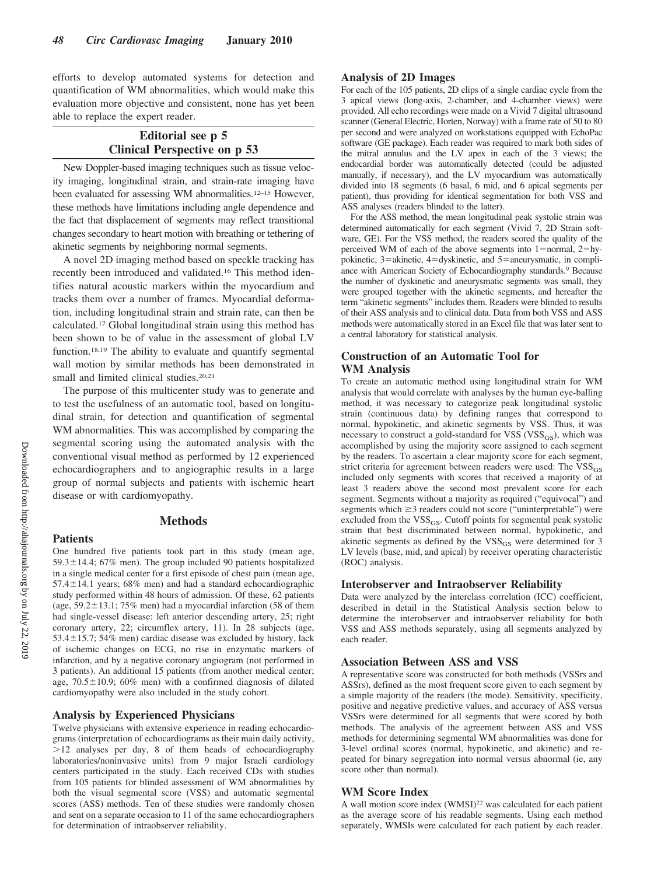efforts to develop automated systems for detection and quantification of WM abnormalities, which would make this evaluation more objective and consistent, none has yet been able to replace the expert reader.

## **Editorial see p 5 Clinical Perspective on p 53**

New Doppler-based imaging techniques such as tissue velocity imaging, longitudinal strain, and strain-rate imaging have been evaluated for assessing WM abnormalities.<sup>12–15</sup> However, these methods have limitations including angle dependence and the fact that displacement of segments may reflect transitional changes secondary to heart motion with breathing or tethering of akinetic segments by neighboring normal segments.

A novel 2D imaging method based on speckle tracking has recently been introduced and validated.16 This method identifies natural acoustic markers within the myocardium and tracks them over a number of frames. Myocardial deformation, including longitudinal strain and strain rate, can then be calculated.17 Global longitudinal strain using this method has been shown to be of value in the assessment of global LV function.18,19 The ability to evaluate and quantify segmental wall motion by similar methods has been demonstrated in small and limited clinical studies.<sup>20,21</sup>

The purpose of this multicenter study was to generate and to test the usefulness of an automatic tool, based on longitudinal strain, for detection and quantification of segmental WM abnormalities. This was accomplished by comparing the segmental scoring using the automated analysis with the conventional visual method as performed by 12 experienced echocardiographers and to angiographic results in a large group of normal subjects and patients with ischemic heart disease or with cardiomyopathy.

## **Methods**

One hundred five patients took part in this study (mean age,  $59.3 \pm 14.4$ ; 67% men). The group included 90 patients hospitalized in a single medical center for a first episode of chest pain (mean age,  $57.4 \pm 14.1$  years; 68% men) and had a standard echocardiographic study performed within 48 hours of admission. Of these, 62 patients (age,  $59.2 \pm 13.1$ ;  $75\%$  men) had a myocardial infarction (58 of them had single-vessel disease: left anterior descending artery, 25; right coronary artery, 22; circumflex artery, 11). In 28 subjects (age, 53.4 $\pm$ 15.7; 54% men) cardiac disease was excluded by history, lack of ischemic changes on ECG, no rise in enzymatic markers of infarction, and by a negative coronary angiogram (not performed in 3 patients). An additional 15 patients (from another medical center; age,  $70.5 \pm 10.9$ ; 60% men) with a confirmed diagnosis of dilated cardiomyopathy were also included in the study cohort.

#### **Analysis by Experienced Physicians**

Twelve physicians with extensive experience in reading echocardiograms (interpretation of echocardiograms as their main daily activity,  $>12$  analyses per day, 8 of them heads of echocardiography laboratories/noninvasive units) from 9 major Israeli cardiology centers participated in the study. Each received CDs with studies from 105 patients for blinded assessment of WM abnormalities by both the visual segmental score (VSS) and automatic segmental scores (ASS) methods. Ten of these studies were randomly chosen and sent on a separate occasion to 11 of the same echocardiographers for determination of intraobserver reliability.

## **Analysis of 2D Images**

For each of the 105 patients, 2D clips of a single cardiac cycle from the 3 apical views (long-axis, 2-chamber, and 4-chamber views) were provided. All echo recordings were made on a Vivid 7 digital ultrasound scanner (General Electric, Horten, Norway) with a frame rate of 50 to 80 per second and were analyzed on workstations equipped with EchoPac software (GE package). Each reader was required to mark both sides of the mitral annulus and the LV apex in each of the 3 views; the endocardial border was automatically detected (could be adjusted manually, if necessary), and the LV myocardium was automatically divided into 18 segments (6 basal, 6 mid, and 6 apical segments per patient), thus providing for identical segmentation for both VSS and ASS analyses (readers blinded to the latter).

For the ASS method, the mean longitudinal peak systolic strain was determined automatically for each segment (Vivid 7, 2D Strain software, GE). For the VSS method, the readers scored the quality of the perceived WM of each of the above segments into  $1 = normal$ ,  $2 = hy$ pokinetic,  $3$ =akinetic,  $4$ =dyskinetic, and  $5$ =aneurysmatic, in compliance with American Society of Echocardiography standards.9 Because the number of dyskinetic and aneurysmatic segments was small, they were grouped together with the akinetic segments, and hereafter the term "akinetic segments" includes them. Readers were blinded to results of their ASS analysis and to clinical data. Data from both VSS and ASS methods were automatically stored in an Excel file that was later sent to a central laboratory for statistical analysis.

## **Construction of an Automatic Tool for WM Analysis**

To create an automatic method using longitudinal strain for WM analysis that would correlate with analyses by the human eye-balling method, it was necessary to categorize peak longitudinal systolic strain (continuous data) by defining ranges that correspond to normal, hypokinetic, and akinetic segments by VSS. Thus, it was necessary to construct a gold-standard for VSS ( $VSS_{GS}$ ), which was accomplished by using the majority score assigned to each segment by the readers. To ascertain a clear majority score for each segment, strict criteria for agreement between readers were used: The  $VSS_{GS}$ included only segments with scores that received a majority of at least 3 readers above the second most prevalent score for each segment. Segments without a majority as required ("equivocal") and segments which  $\geq$ 3 readers could not score ("uninterpretable") were excluded from the  $VSS_{GS}$ . Cutoff points for segmental peak systolic strain that best discriminated between normal, hypokinetic, and akinetic segments as defined by the  $VSS<sub>GS</sub>$  were determined for 3 LV levels (base, mid, and apical) by receiver operating characteristic (ROC) analysis.

#### **Interobserver and Intraobserver Reliability**

Data were analyzed by the interclass correlation (ICC) coefficient, described in detail in the Statistical Analysis section below to determine the interobserver and intraobserver reliability for both VSS and ASS methods separately, using all segments analyzed by each reader.

## **Association Between ASS and VSS**

A representative score was constructed for both methods (VSSrs and ASSrs), defined as the most frequent score given to each segment by a simple majority of the readers (the mode). Sensitivity, specificity, positive and negative predictive values, and accuracy of ASS versus VSSrs were determined for all segments that were scored by both methods. The analysis of the agreement between ASS and VSS methods for determining segmental WM abnormalities was done for 3-level ordinal scores (normal, hypokinetic, and akinetic) and repeated for binary segregation into normal versus abnormal (ie, any score other than normal).

## **WM Score Index**

A wall motion score index (WMSI)<sup>22</sup> was calculated for each patient as the average score of his readable segments. Using each method separately, WMSIs were calculated for each patient by each reader.

**Patients**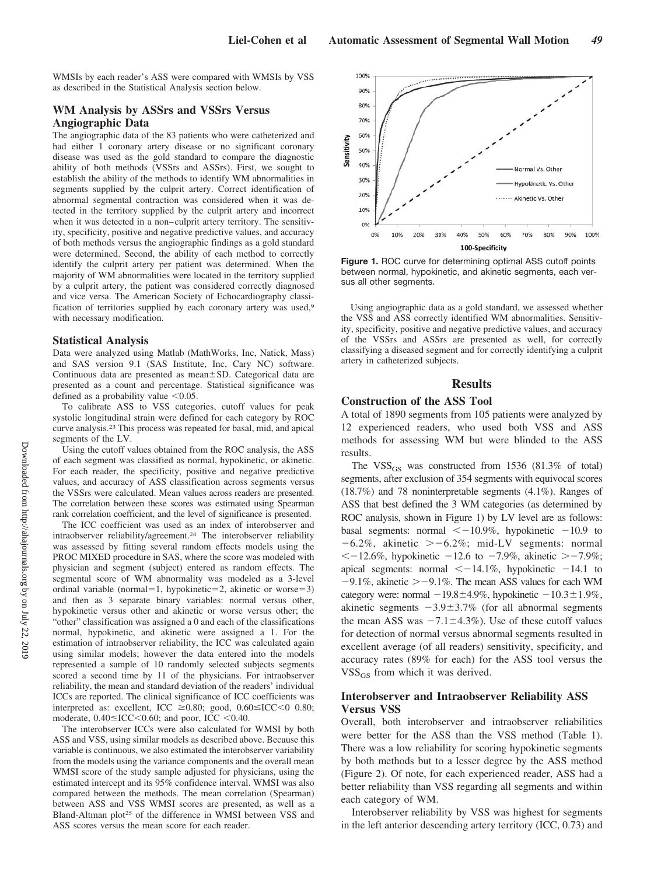WMSIs by each reader's ASS were compared with WMSIs by VSS as described in the Statistical Analysis section below.

## **WM Analysis by ASSrs and VSSrs Versus Angiographic Data**

The angiographic data of the 83 patients who were catheterized and had either 1 coronary artery disease or no significant coronary disease was used as the gold standard to compare the diagnostic ability of both methods (VSSrs and ASSrs). First, we sought to establish the ability of the methods to identify WM abnormalities in segments supplied by the culprit artery. Correct identification of abnormal segmental contraction was considered when it was detected in the territory supplied by the culprit artery and incorrect when it was detected in a non–culprit artery territory. The sensitivity, specificity, positive and negative predictive values, and accuracy of both methods versus the angiographic findings as a gold standard were determined. Second, the ability of each method to correctly identify the culprit artery per patient was determined. When the majority of WM abnormalities were located in the territory supplied by a culprit artery, the patient was considered correctly diagnosed and vice versa. The American Society of Echocardiography classification of territories supplied by each coronary artery was used,9 with necessary modification.

#### **Statistical Analysis**

Data were analyzed using Matlab (MathWorks, Inc, Natick, Mass) and SAS version 9.1 (SAS Institute, Inc, Cary NC) software. Continuous data are presented as mean $\pm$ SD. Categorical data are presented as a count and percentage. Statistical significance was defined as a probability value  $\leq 0.05$ .

To calibrate ASS to VSS categories, cutoff values for peak systolic longitudinal strain were defined for each category by ROC curve analysis.23 This process was repeated for basal, mid, and apical segments of the LV.

Using the cutoff values obtained from the ROC analysis, the ASS of each segment was classified as normal, hypokinetic, or akinetic. For each reader, the specificity, positive and negative predictive values, and accuracy of ASS classification across segments versus the VSSrs were calculated. Mean values across readers are presented. The correlation between these scores was estimated using Spearman rank correlation coefficient, and the level of significance is presented.

The ICC coefficient was used as an index of interobserver and intraobserver reliability/agreement.24 The interobserver reliability was assessed by fitting several random effects models using the PROC MIXED procedure in SAS, where the score was modeled with physician and segment (subject) entered as random effects. The segmental score of WM abnormality was modeled as a 3-level ordinal variable (normal=1, hypokinetic=2, akinetic or worse=3) and then as 3 separate binary variables: normal versus other, hypokinetic versus other and akinetic or worse versus other; the "other" classification was assigned a 0 and each of the classifications normal, hypokinetic, and akinetic were assigned a 1. For the estimation of intraobserver reliability, the ICC was calculated again using similar models; however the data entered into the models represented a sample of 10 randomly selected subjects segments scored a second time by 11 of the physicians. For intraobserver reliability, the mean and standard deviation of the readers' individual ICCs are reported. The clinical significance of ICC coefficients was interpreted as: excellent, ICC  $\geq 0.80$ ; good,  $0.60 \leq ICC < 0.80$ ; moderate,  $0.40 \leq$ ICC $\lt$ 0.60; and poor, ICC  $\lt$ 0.40.

The interobserver ICCs were also calculated for WMSI by both ASS and VSS, using similar models as described above. Because this variable is continuous, we also estimated the interobserver variability from the models using the variance components and the overall mean WMSI score of the study sample adjusted for physicians, using the estimated intercept and its 95% confidence interval. WMSI was also compared between the methods. The mean correlation (Spearman) between ASS and VSS WMSI scores are presented, as well as a Bland-Altman plot<sup>25</sup> of the difference in WMSI between VSS and ASS scores versus the mean score for each reader.



**Figure 1.** ROC curve for determining optimal ASS cutoff points between normal, hypokinetic, and akinetic segments, each versus all other segments.

Using angiographic data as a gold standard, we assessed whether the VSS and ASS correctly identified WM abnormalities. Sensitivity, specificity, positive and negative predictive values, and accuracy of the VSSrs and ASSrs are presented as well, for correctly classifying a diseased segment and for correctly identifying a culprit artery in catheterized subjects.

#### **Results**

#### **Construction of the ASS Tool**

A total of 1890 segments from 105 patients were analyzed by 12 experienced readers, who used both VSS and ASS methods for assessing WM but were blinded to the ASS results.

The  $VSS_{GS}$  was constructed from 1536 (81.3% of total) segments, after exclusion of 354 segments with equivocal scores (18.7%) and 78 noninterpretable segments (4.1%). Ranges of ASS that best defined the 3 WM categories (as determined by ROC analysis, shown in Figure 1) by LV level are as follows: basal segments: normal  $\leq -10.9\%$ , hypokinetic  $-10.9$  to  $-6.2\%$ , akinetic  $>-6.2\%$ ; mid-LV segments: normal  $\leq$  -12.6%, hypokinetic -12.6 to -7.9%, akinetic > -7.9%; apical segments: normal  $\leq -14.1\%$ , hypokinetic  $-14.1$  to  $-9.1\%$ , akinetic  $\ge -9.1\%$ . The mean ASS values for each WM category were: normal  $-19.8\pm4.9\%$ , hypokinetic  $-10.3\pm1.9\%$ , akinetic segments  $-3.9 \pm 3.7\%$  (for all abnormal segments the mean ASS was  $-7.1 \pm 4.3\%$ ). Use of these cutoff values for detection of normal versus abnormal segments resulted in excellent average (of all readers) sensitivity, specificity, and accuracy rates (89% for each) for the ASS tool versus the VSS<sub>GS</sub> from which it was derived.

## **Interobserver and Intraobserver Reliability ASS Versus VSS**

Overall, both interobserver and intraobserver reliabilities were better for the ASS than the VSS method (Table 1). There was a low reliability for scoring hypokinetic segments by both methods but to a lesser degree by the ASS method (Figure 2). Of note, for each experienced reader, ASS had a better reliability than VSS regarding all segments and within each category of WM.

Interobserver reliability by VSS was highest for segments in the left anterior descending artery territory (ICC, 0.73) and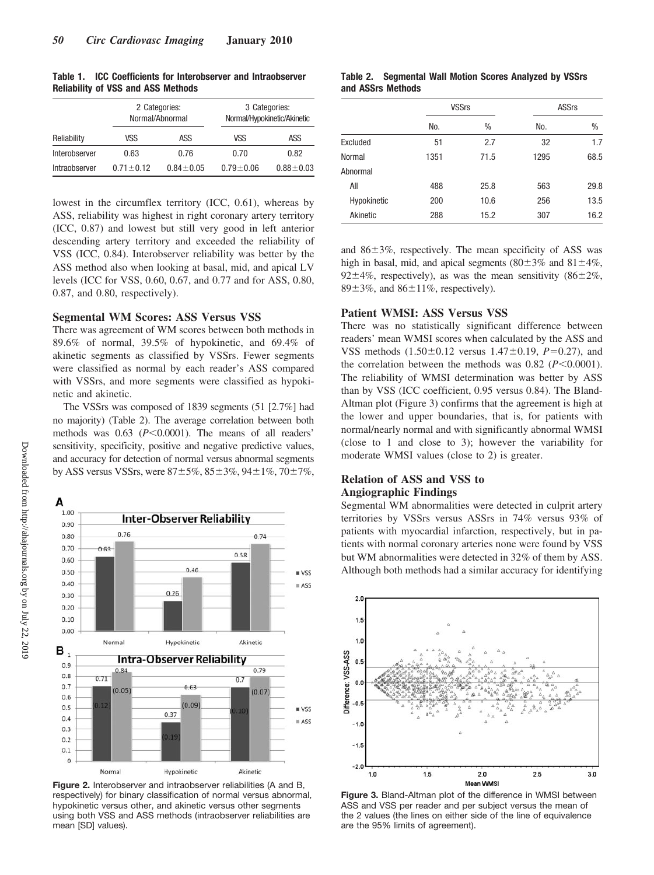| Table 1. |                                           | <b>ICC Coefficients for Interobserver and Intraobserver</b> |
|----------|-------------------------------------------|-------------------------------------------------------------|
|          | <b>Reliability of VSS and ASS Methods</b> |                                                             |

|               |                 | 2 Categories:<br>Normal/Abnormal |               | 3 Categories:<br>Normal/Hypokinetic/Akinetic |  |  |
|---------------|-----------------|----------------------------------|---------------|----------------------------------------------|--|--|
| Reliability   | VSS             | ASS                              | VSS           | ASS                                          |  |  |
| Interobserver | 0.63            | 0.76                             | 0.70          | 0.82                                         |  |  |
| Intraobserver | $0.71 \pm 0.12$ | $0.84 \pm 0.05$                  | $0.79 + 0.06$ | $0.88 + 0.03$                                |  |  |

lowest in the circumflex territory (ICC, 0.61), whereas by ASS, reliability was highest in right coronary artery territory (ICC, 0.87) and lowest but still very good in left anterior descending artery territory and exceeded the reliability of VSS (ICC, 0.84). Interobserver reliability was better by the ASS method also when looking at basal, mid, and apical LV levels (ICC for VSS, 0.60, 0.67, and 0.77 and for ASS, 0.80, 0.87, and 0.80, respectively).

## **Segmental WM Scores: ASS Versus VSS**

There was agreement of WM scores between both methods in 89.6% of normal, 39.5% of hypokinetic, and 69.4% of akinetic segments as classified by VSSrs. Fewer segments were classified as normal by each reader's ASS compared with VSSrs, and more segments were classified as hypokinetic and akinetic.

The VSSrs was composed of 1839 segments (51 [2.7%] had no majority) (Table 2). The average correlation between both methods was 0.63 (P<0.0001). The means of all readers' sensitivity, specificity, positive and negative predictive values, and accuracy for detection of normal versus abnormal segments by ASS versus VSSrs, were  $87 \pm 5\%$ ,  $85 \pm 3\%$ ,  $94 \pm 1\%$ ,  $70 \pm 7\%$ ,



**Figure 2.** Interobserver and intraobserver reliabilities (A and B, respectively) for binary classification of normal versus abnormal, hypokinetic versus other, and akinetic versus other segments using both VSS and ASS methods (intraobserver reliabilities are mean [SD] values).

| Table 2. Segmental Wall Motion Scores Analyzed by VSSrs |  |  |  |
|---------------------------------------------------------|--|--|--|
| and ASSrs Methods                                       |  |  |  |

|             | <b>VSSrs</b> |      | <b>ASSrs</b> |      |
|-------------|--------------|------|--------------|------|
|             | No.          | %    | No.          | $\%$ |
| Excluded    | 51           | 2.7  | 32           | 1.7  |
| Normal      | 1351         | 71.5 | 1295         | 68.5 |
| Abnormal    |              |      |              |      |
| All         | 488          | 25.8 | 563          | 29.8 |
| Hypokinetic | 200          | 10.6 | 256          | 13.5 |
| Akinetic    | 288          | 15.2 | 307          | 16.2 |

and  $86\pm3\%$ , respectively. The mean specificity of ASS was high in basal, mid, and apical segments  $(80\pm3\%$  and  $81\pm4\%$ , 92 $\pm$ 4%, respectively), as was the mean sensitivity (86 $\pm$ 2%, 89 $\pm$ 3%, and 86 $\pm$ 11%, respectively).

#### **Patient WMSI: ASS Versus VSS**

There was no statistically significant difference between readers' mean WMSI scores when calculated by the ASS and VSS methods  $(1.50 \pm 0.12$  versus  $1.47 \pm 0.19$ ,  $P=0.27$ ), and the correlation between the methods was  $0.82$  ( $P < 0.0001$ ). The reliability of WMSI determination was better by ASS than by VSS (ICC coefficient, 0.95 versus 0.84). The Bland-Altman plot (Figure 3) confirms that the agreement is high at the lower and upper boundaries, that is, for patients with normal/nearly normal and with significantly abnormal WMSI (close to 1 and close to 3); however the variability for moderate WMSI values (close to 2) is greater.

## **Relation of ASS and VSS to Angiographic Findings**

Segmental WM abnormalities were detected in culprit artery territories by VSSrs versus ASSrs in 74% versus 93% of patients with myocardial infarction, respectively, but in patients with normal coronary arteries none were found by VSS but WM abnormalities were detected in 32% of them by ASS. Although both methods had a similar accuracy for identifying



**Figure 3.** Bland-Altman plot of the difference in WMSI between ASS and VSS per reader and per subject versus the mean of the 2 values (the lines on either side of the line of equivalence are the 95% limits of agreement).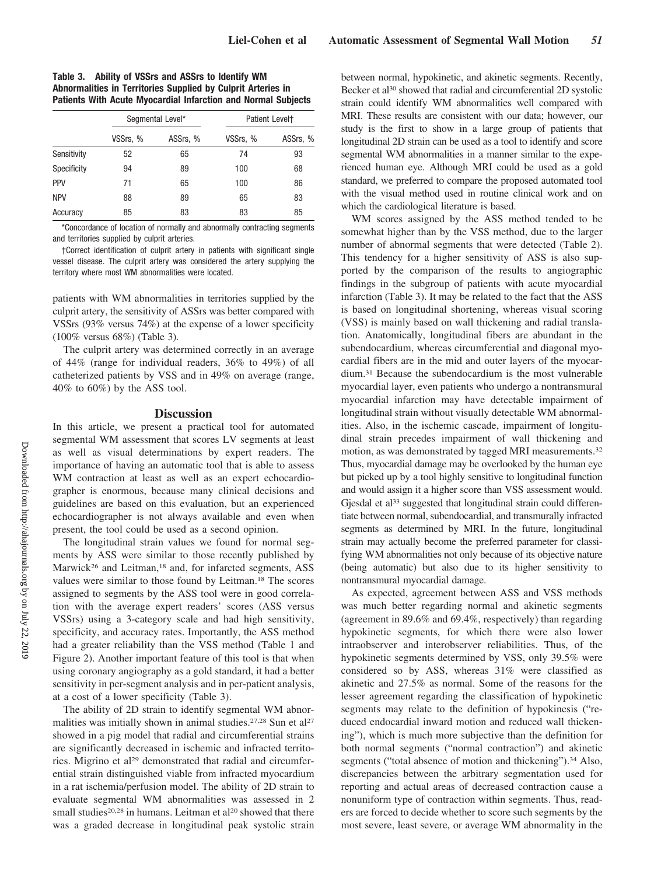**Table 3. Ability of VSSrs and ASSrs to Identify WM Abnormalities in Territories Supplied by Culprit Arteries in Patients With Acute Myocardial Infarction and Normal Subjects**

|             | Segmental Level* |          | Patient Level <sup>+</sup> |          |  |
|-------------|------------------|----------|----------------------------|----------|--|
|             | VSSrs, %         | ASSrs, % | VSSrs, %                   | ASSrs, % |  |
| Sensitivity | 52               | 65       | 74                         | 93       |  |
| Specificity | 94               | 89       | 100                        | 68       |  |
| PPV         | 71               | 65       | 100                        | 86       |  |
| <b>NPV</b>  | 88               | 89       | 65                         | 83       |  |
| Accuracy    | 85               | 83       | 83                         | 85       |  |

\*Concordance of location of normally and abnormally contracting segments and territories supplied by culprit arteries.

†Correct identification of culprit artery in patients with significant single vessel disease. The culprit artery was considered the artery supplying the territory where most WM abnormalities were located.

patients with WM abnormalities in territories supplied by the culprit artery, the sensitivity of ASSrs was better compared with VSSrs (93% versus 74%) at the expense of a lower specificity (100% versus 68%) (Table 3).

The culprit artery was determined correctly in an average of 44% (range for individual readers, 36% to 49%) of all catheterized patients by VSS and in 49% on average (range, 40% to 60%) by the ASS tool.

#### **Discussion**

In this article, we present a practical tool for automated segmental WM assessment that scores LV segments at least as well as visual determinations by expert readers. The importance of having an automatic tool that is able to assess WM contraction at least as well as an expert echocardiographer is enormous, because many clinical decisions and guidelines are based on this evaluation, but an experienced echocardiographer is not always available and even when present, the tool could be used as a second opinion.

The longitudinal strain values we found for normal segments by ASS were similar to those recently published by Marwick<sup>26</sup> and Leitman,<sup>18</sup> and, for infarcted segments, ASS values were similar to those found by Leitman.18 The scores assigned to segments by the ASS tool were in good correlation with the average expert readers' scores (ASS versus VSSrs) using a 3-category scale and had high sensitivity, specificity, and accuracy rates. Importantly, the ASS method had a greater reliability than the VSS method (Table 1 and Figure 2). Another important feature of this tool is that when using coronary angiography as a gold standard, it had a better sensitivity in per-segment analysis and in per-patient analysis, at a cost of a lower specificity (Table 3).

The ability of 2D strain to identify segmental WM abnormalities was initially shown in animal studies.<sup>27,28</sup> Sun et al<sup>27</sup> showed in a pig model that radial and circumferential strains are significantly decreased in ischemic and infracted territories. Migrino et al<sup>29</sup> demonstrated that radial and circumferential strain distinguished viable from infracted myocardium in a rat ischemia/perfusion model. The ability of 2D strain to evaluate segmental WM abnormalities was assessed in 2 small studies<sup>20,28</sup> in humans. Leitman et al<sup>20</sup> showed that there was a graded decrease in longitudinal peak systolic strain

between normal, hypokinetic, and akinetic segments. Recently, Becker et al<sup>30</sup> showed that radial and circumferential 2D systolic strain could identify WM abnormalities well compared with MRI. These results are consistent with our data; however, our study is the first to show in a large group of patients that longitudinal 2D strain can be used as a tool to identify and score segmental WM abnormalities in a manner similar to the experienced human eye. Although MRI could be used as a gold standard, we preferred to compare the proposed automated tool with the visual method used in routine clinical work and on which the cardiological literature is based.

WM scores assigned by the ASS method tended to be somewhat higher than by the VSS method, due to the larger number of abnormal segments that were detected (Table 2). This tendency for a higher sensitivity of ASS is also supported by the comparison of the results to angiographic findings in the subgroup of patients with acute myocardial infarction (Table 3). It may be related to the fact that the ASS is based on longitudinal shortening, whereas visual scoring (VSS) is mainly based on wall thickening and radial translation. Anatomically, longitudinal fibers are abundant in the subendocardium, whereas circumferential and diagonal myocardial fibers are in the mid and outer layers of the myocardium.31 Because the subendocardium is the most vulnerable myocardial layer, even patients who undergo a nontransmural myocardial infarction may have detectable impairment of longitudinal strain without visually detectable WM abnormalities. Also, in the ischemic cascade, impairment of longitudinal strain precedes impairment of wall thickening and motion, as was demonstrated by tagged MRI measurements.32 Thus, myocardial damage may be overlooked by the human eye but picked up by a tool highly sensitive to longitudinal function and would assign it a higher score than VSS assessment would. Gjesdal et al<sup>33</sup> suggested that longitudinal strain could differentiate between normal, subendocardial, and transmurally infracted segments as determined by MRI. In the future, longitudinal strain may actually become the preferred parameter for classifying WM abnormalities not only because of its objective nature (being automatic) but also due to its higher sensitivity to nontransmural myocardial damage.

As expected, agreement between ASS and VSS methods was much better regarding normal and akinetic segments (agreement in 89.6% and 69.4%, respectively) than regarding hypokinetic segments, for which there were also lower intraobserver and interobserver reliabilities. Thus, of the hypokinetic segments determined by VSS, only 39.5% were considered so by ASS, whereas 31% were classified as akinetic and 27.5% as normal. Some of the reasons for the lesser agreement regarding the classification of hypokinetic segments may relate to the definition of hypokinesis ("reduced endocardial inward motion and reduced wall thickening"), which is much more subjective than the definition for both normal segments ("normal contraction") and akinetic segments ("total absence of motion and thickening").<sup>34</sup> Also, discrepancies between the arbitrary segmentation used for reporting and actual areas of decreased contraction cause a nonuniform type of contraction within segments. Thus, readers are forced to decide whether to score such segments by the most severe, least severe, or average WM abnormality in the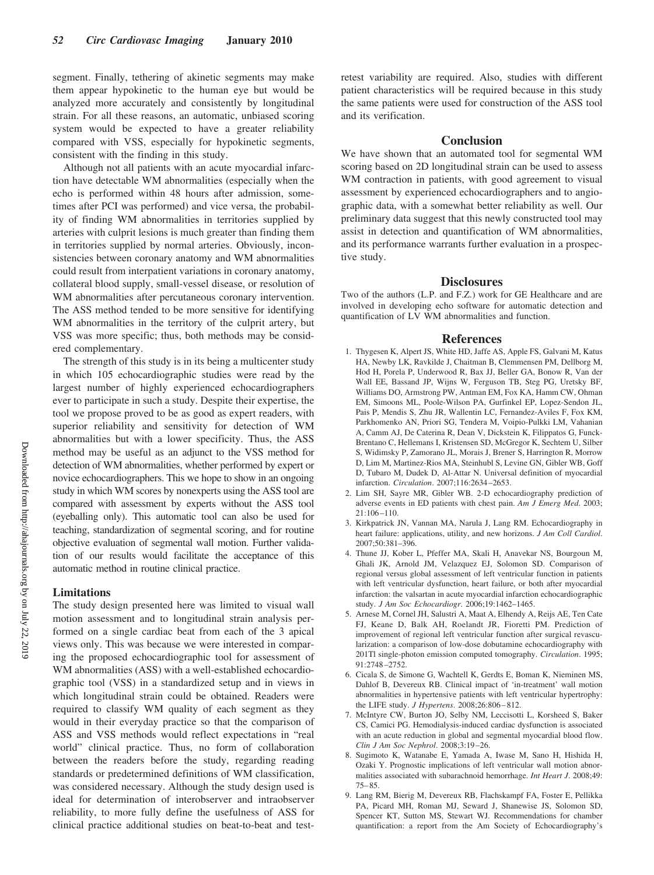segment. Finally, tethering of akinetic segments may make them appear hypokinetic to the human eye but would be analyzed more accurately and consistently by longitudinal strain. For all these reasons, an automatic, unbiased scoring system would be expected to have a greater reliability compared with VSS, especially for hypokinetic segments, consistent with the finding in this study.

Although not all patients with an acute myocardial infarction have detectable WM abnormalities (especially when the echo is performed within 48 hours after admission, sometimes after PCI was performed) and vice versa, the probability of finding WM abnormalities in territories supplied by arteries with culprit lesions is much greater than finding them in territories supplied by normal arteries. Obviously, inconsistencies between coronary anatomy and WM abnormalities could result from interpatient variations in coronary anatomy, collateral blood supply, small-vessel disease, or resolution of WM abnormalities after percutaneous coronary intervention. The ASS method tended to be more sensitive for identifying WM abnormalities in the territory of the culprit artery, but VSS was more specific; thus, both methods may be considered complementary.

The strength of this study is in its being a multicenter study in which 105 echocardiographic studies were read by the largest number of highly experienced echocardiographers ever to participate in such a study. Despite their expertise, the tool we propose proved to be as good as expert readers, with superior reliability and sensitivity for detection of WM abnormalities but with a lower specificity. Thus, the ASS method may be useful as an adjunct to the VSS method for detection of WM abnormalities, whether performed by expert or novice echocardiographers. This we hope to show in an ongoing study in which WM scores by nonexperts using the ASS tool are compared with assessment by experts without the ASS tool (eyeballing only). This automatic tool can also be used for teaching, standardization of segmental scoring, and for routine objective evaluation of segmental wall motion. Further validation of our results would facilitate the acceptance of this automatic method in routine clinical practice.

## **Limitations**

The study design presented here was limited to visual wall motion assessment and to longitudinal strain analysis performed on a single cardiac beat from each of the 3 apical views only. This was because we were interested in comparing the proposed echocardiographic tool for assessment of WM abnormalities (ASS) with a well-established echocardiographic tool (VSS) in a standardized setup and in views in which longitudinal strain could be obtained. Readers were required to classify WM quality of each segment as they would in their everyday practice so that the comparison of ASS and VSS methods would reflect expectations in "real world" clinical practice. Thus, no form of collaboration between the readers before the study, regarding reading standards or predetermined definitions of WM classification, was considered necessary. Although the study design used is ideal for determination of interobserver and intraobserver reliability, to more fully define the usefulness of ASS for clinical practice additional studies on beat-to-beat and testretest variability are required. Also, studies with different patient characteristics will be required because in this study the same patients were used for construction of the ASS tool and its verification.

## **Conclusion**

We have shown that an automated tool for segmental WM scoring based on 2D longitudinal strain can be used to assess WM contraction in patients, with good agreement to visual assessment by experienced echocardiographers and to angiographic data, with a somewhat better reliability as well. Our preliminary data suggest that this newly constructed tool may assist in detection and quantification of WM abnormalities, and its performance warrants further evaluation in a prospective study.

## **Disclosures**

Two of the authors (L.P. and F.Z.) work for GE Healthcare and are involved in developing echo software for automatic detection and quantification of LV WM abnormalities and function.

## **References**

- 1. Thygesen K, Alpert JS, White HD, Jaffe AS, Apple FS, Galvani M, Katus HA, Newby LK, Ravkilde J, Chaitman B, Clemmensen PM, Dellborg M, Hod H, Porela P, Underwood R, Bax JJ, Beller GA, Bonow R, Van der Wall EE, Bassand JP, Wijns W, Ferguson TB, Steg PG, Uretsky BF, Williams DO, Armstrong PW, Antman EM, Fox KA, Hamm CW, Ohman EM, Simoons ML, Poole-Wilson PA, Gurfinkel EP, Lopez-Sendon JL, Pais P, Mendis S, Zhu JR, Wallentin LC, Fernandez-Aviles F, Fox KM, Parkhomenko AN, Priori SG, Tendera M, Voipio-Pulkki LM, Vahanian A, Camm AJ, De Caterina R, Dean V, Dickstein K, Filippatos G, Funck-Brentano C, Hellemans I, Kristensen SD, McGregor K, Sechtem U, Silber S, Widimsky P, Zamorano JL, Morais J, Brener S, Harrington R, Morrow D, Lim M, Martinez-Rios MA, Steinhubl S, Levine GN, Gibler WB, Goff D, Tubaro M, Dudek D, Al-Attar N. Universal definition of myocardial infarction. *Circulation*. 2007;116:2634 –2653.
- 2. Lim SH, Sayre MR, Gibler WB. 2-D echocardiography prediction of adverse events in ED patients with chest pain. *Am J Emerg Med*. 2003; 21:106 –110.
- 3. Kirkpatrick JN, Vannan MA, Narula J, Lang RM. Echocardiography in heart failure: applications, utility, and new horizons. *J Am Coll Cardiol*.  $2007.50.381 - 396$
- 4. Thune JJ, Kober L, Pfeffer MA, Skali H, Anavekar NS, Bourgoun M, Ghali JK, Arnold JM, Velazquez EJ, Solomon SD. Comparison of regional versus global assessment of left ventricular function in patients with left ventricular dysfunction, heart failure, or both after myocardial infarction: the valsartan in acute myocardial infarction echocardiographic study. *J Am Soc Echocardiogr*. 2006;19:1462–1465.
- 5. Arnese M, Cornel JH, Salustri A, Maat A, Elhendy A, Reijs AE, Ten Cate FJ, Keane D, Balk AH, Roelandt JR, Fioretti PM. Prediction of improvement of regional left ventricular function after surgical revascularization: a comparison of low-dose dobutamine echocardiography with 201Tl single-photon emission computed tomography. *Circulation*. 1995; 91:2748 –2752.
- 6. Cicala S, de Simone G, Wachtell K, Gerdts E, Boman K, Nieminen MS, Dahlof B, Devereux RB. Clinical impact of 'in-treatment' wall motion abnormalities in hypertensive patients with left ventricular hypertrophy: the LIFE study. *J Hypertens*. 2008;26:806 – 812.
- 7. McIntyre CW, Burton JO, Selby NM, Leccisotti L, Korsheed S, Baker CS, Camici PG. Hemodialysis-induced cardiac dysfunction is associated with an acute reduction in global and segmental myocardial blood flow. *Clin J Am Soc Nephrol*. 2008;3:19 –26.
- 8. Sugimoto K, Watanabe E, Yamada A, Iwase M, Sano H, Hishida H, Ozaki Y. Prognostic implications of left ventricular wall motion abnormalities associated with subarachnoid hemorrhage. *Int Heart J*. 2008;49: 75– 85.
- 9. Lang RM, Bierig M, Devereux RB, Flachskampf FA, Foster E, Pellikka PA, Picard MH, Roman MJ, Seward J, Shanewise JS, Solomon SD, Spencer KT, Sutton MS, Stewart WJ. Recommendations for chamber quantification: a report from the Am Society of Echocardiography's